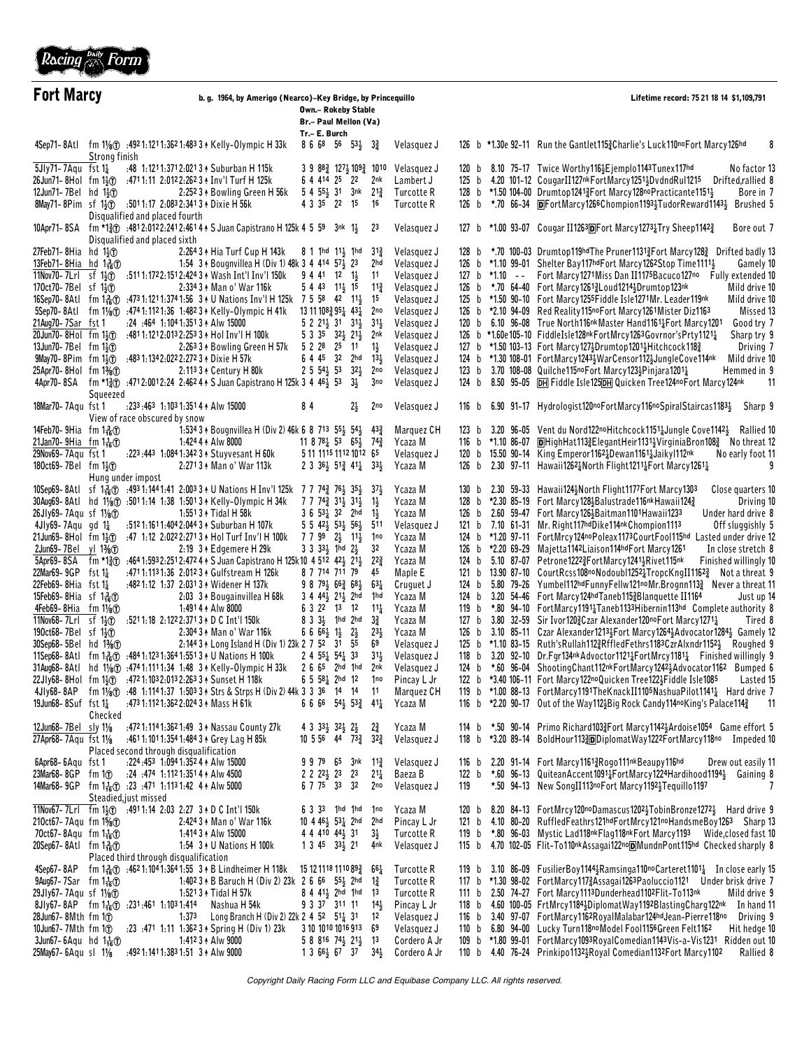

| <b>Fort Marcy</b>                                                       |                     |                                                                                                                                                         | b. g. 1964, by Amerigo (Nearco)-Key Bridge, by Princequillo<br><b>Own.- Rokeby Stable</b><br>Br.- Paul Mellon (Va)                                                                                                                 |                                                                           |                        |                            |       |                     | Lifetime record: 75 21 18 14 \$1,109,791                                                                                                                                                       |  |  |
|-------------------------------------------------------------------------|---------------------|---------------------------------------------------------------------------------------------------------------------------------------------------------|------------------------------------------------------------------------------------------------------------------------------------------------------------------------------------------------------------------------------------|---------------------------------------------------------------------------|------------------------|----------------------------|-------|---------------------|------------------------------------------------------------------------------------------------------------------------------------------------------------------------------------------------|--|--|
|                                                                         |                     |                                                                                                                                                         |                                                                                                                                                                                                                                    | Tr.- E. Burch                                                             |                        |                            |       |                     |                                                                                                                                                                                                |  |  |
|                                                                         | Strong finish       |                                                                                                                                                         | 4Sep71-8Atl fm 11/8 (1) :492 1:121 1:362 1:483 3 + Kelly-Olympic H 33k                                                                                                                                                             | $86685653\frac{1}{2}32$                                                   |                        | Velasquez J                |       |                     | 126 b *1.30e 92-11 Run the Gantlet 115 2 Charlie's Luck 110no Fort Marcy 126hd<br>8                                                                                                            |  |  |
| $5Jly71 - 7Aqu$ fst $1\frac{1}{4}$                                      |                     |                                                                                                                                                         | :48 1:121 1:371 2:021 3 + Suburban H 115k                                                                                                                                                                                          | $3.9.88\frac{3}{4}$ 127 $\frac{1}{2}$ 109 $\frac{3}{4}$ 1010              |                        | Velasquez J                |       |                     | 120 b 8.10 75-17 Twice Worthy 116 3 Ejemplo 1143 Tunex 117hd<br>No factor 13                                                                                                                   |  |  |
| $26$ Jun71-8Hol fm 1 $\frac{1}{2}$                                      |                     |                                                                                                                                                         | :4711:11 2:0122:2623 + Inv'l Turf H 125k                                                                                                                                                                                           | 6 4 4 14 25 22                                                            | 2nk                    | Lambert J                  |       |                     | 125 b 4.20 101-12 CougarII127nkFortMarcy1251; DvdndRul1215 Drifted, rallied 8                                                                                                                  |  |  |
| 12Jun71-7Bel hd 1 $\frac{1}{2}$                                         |                     | 8May71-8Pim sf 1 <sup>3</sup> <sub>3</sub> (1) :5011:17 2:0832:3413 + Dixie H 56k                                                                       | 2:252 3 A Bowling Green H 56k                                                                                                                                                                                                      | 5 4 551 31 3nk<br>4 3 3 5 22 15                                           | $21\frac{3}{4}$<br>16  | Turcotte R<br>Turcotte R   |       |                     | 128 b *1.50 104-00 Drumtop1241 <sup>3</sup> Fort Marcy128no Practicante1151 <sup>1</sup><br>Bore in 7<br>126 b *.70 66-34 <b>D</b> FortMarcy1266Chompion11934TudorReward11434 Brushed 5        |  |  |
|                                                                         |                     | Disqualified and placed fourth                                                                                                                          |                                                                                                                                                                                                                                    |                                                                           |                        |                            |       |                     |                                                                                                                                                                                                |  |  |
|                                                                         |                     | Disqualified and placed sixth                                                                                                                           | 10Apr71-8SA fm *1 $\frac{3}{2}$ :4812:0122:2412:4614 \ S Juan Capistrano H 125k 4 5 59 3nk 1}                                                                                                                                      |                                                                           | 23                     | Velasquez J                |       |                     | 127 b *1.00 93-07 Cougar II1263 <sub>D</sub> Fort Marcy1273 $\frac{1}{4}$ Try Sheep1142 $\frac{3}{4}$<br>Bore out 7                                                                            |  |  |
| 27Feb71-8Hia hd 1 $\frac{1}{2}$                                         |                     |                                                                                                                                                         | 2:264 3 + Hia Turf Cup H 143k                                                                                                                                                                                                      | 8 1 1hd 11, 1hd                                                           | $3^{13}$               | Velasquez J                |       |                     | 128 b *.70 100-03 Drumtop119hdThe Pruner1131 <sup>3</sup> /Fort Marcy128 <sup>3</sup> Drifted badly 13                                                                                         |  |  |
| 13Feb71-8Hia                                                            | hd $1\frac{3}{16}$  |                                                                                                                                                         | 1:54 3 A Bougnvillea H (Div 1) 48k 3 4 414 57 3 23                                                                                                                                                                                 |                                                                           | 2hd                    | Velasquez J                |       |                     | 126 b *1.10 99-01 Shelter Bay117hdFort Marcy1262Stop Time1111}<br>Gamely 10                                                                                                                    |  |  |
| $11$ Nov70-7Lrl sf $1\frac{1}{2}$                                       |                     |                                                                                                                                                         | :5111:1722:1512:424 3 + Wash Int'l Inv'l 150k                                                                                                                                                                                      | $9441$ $12$ $1\frac{1}{2}$                                                | 11                     | Velasquez J                |       | 127 b $*1.10$ --    | Fort Marcy1271Miss Dan II1175Bacuco127no<br>Fully extended 10                                                                                                                                  |  |  |
| 170ct70-7Bel sf 1 <sup>1</sup> <sub>2</sub> <sup>1</sup>                |                     |                                                                                                                                                         | 2:334 3 A Man o' War 116k<br>16Sep70-8Atl fm 13(f) :4731:1211:3741:56 3 + U Nations Inv'l H 125k 7 5 58 42 113                                                                                                                     | $5443$ $11\frac{1}{2}15$                                                  | $11\frac{3}{4}$<br>15  | Velasquez J                |       |                     | 126 b *.70 64-40 Fort Marcy12613Loud12143Drumtop123nk<br>Mild drive 10<br>125 b *1.50 90-10 Fort Marcy 1255 Fiddle Isle1271 Mr. Leader 119nk<br>Mild drive 10                                  |  |  |
| 5Sep70-8Atl                                                             |                     |                                                                                                                                                         | fm 11/ <sub>8</sub> $\circ$ :474 1:112 1:36 1:482 3 $\star$ Kelly-Olympic H 41k                                                                                                                                                    | 13 11 10 <sup>8</sup> 3 95 <sup>1</sup> 43 <sup>1</sup>                   | 2no                    | Velasquez J<br>Velasquez J |       |                     | 126 b *2.10 94-09 Red Reality 115no Fort Marcy 1261 Mister Diz1163<br>Missed 13                                                                                                                |  |  |
| 21Aug70-7Sar fst 1                                                      |                     | :24 :464 1:104 1:351 3 + Alw 15000                                                                                                                      |                                                                                                                                                                                                                                    | 5 2 21 31 31 31 31 31                                                     |                        | Velasquez J                |       |                     | 120 b 6.10 96-08 True North116nk Master Hand1161 <sup>1</sup> / <sub>4</sub> Fort Marcy1201<br>Good try 7                                                                                      |  |  |
| $20$ Jun70-8Hol fm 1 $\frac{1}{2}$                                      |                     |                                                                                                                                                         | :4811:1212:0132:2533 + Hol Inv'l H 100k                                                                                                                                                                                            | 5 3 35 32 32 21 3                                                         | 2nk                    | Velasquez J                |       |                     | 126 b *1.60e105-10 FiddleIsle128nkFortMrcy1263Govrnor'sPrty1121}<br>Sharp try 9                                                                                                                |  |  |
| 13Jun70-7Bel fm 1 <sup>1</sup> <sub>2</sub> <sup>1</sup>                |                     |                                                                                                                                                         | 2:263 3 + Bowling Green H 57k                                                                                                                                                                                                      | 5 2 28 25 11                                                              | $1\frac{1}{2}$         | Velasquez J                |       |                     | 127 b *1.50 103-13 Fort Marcy 1273Drumtop 12013 Hitchcock 1183<br>Driving 7                                                                                                                    |  |  |
| $9$ May70-8Pim fm 1 $\frac{1}{2}$                                       |                     | :483 1:134 2:022 2:272 3 + Dixie H 57k                                                                                                                  |                                                                                                                                                                                                                                    | 6 4 45 32 2hd                                                             | $13\frac{1}{2}$        | Velasquez J                |       |                     | 124 b *1.30 108-01 FortMarcy12433WarCensor1123JungleCove114nk<br>Mild drive 10                                                                                                                 |  |  |
| 25Apr70-8Hol fm 1%1<br>4Apr70-8SA                                       |                     |                                                                                                                                                         | 2:113 3 + Century H 80k<br>fm *1 $\frac{3}{2}$ :4712:0012:24 2:462 4 A S Juan Capistrano H 125k 3 4 46 5 53                                                                                                                        | $2\,5\,54\frac{1}{2}\,53\,32\frac{1}{2}$<br>$3\frac{1}{2}$                | 2no<br>3no             | Velasquez J<br>Velasquez J |       |                     | 123 b 3.70 108-08 Quilche115noFort Marcy1233Pinjara12011<br>Hemmed in 9<br>124 b 8.50 95-05 <b>DH</b> Fiddle Isle125DH Quicken Tree124no Fort Marcy124nk<br>-11                                |  |  |
|                                                                         | Squeezed            |                                                                                                                                                         |                                                                                                                                                                                                                                    |                                                                           |                        |                            |       |                     |                                                                                                                                                                                                |  |  |
| 18Mar70-7Aqu fst 1                                                      |                     | :233:463 1:1031:3514 Alw 15000<br>View of race obscured by snow                                                                                         |                                                                                                                                                                                                                                    | 84<br>21                                                                  | 2no                    | Velasquez J                |       |                     | 116 b 6.90 91-17 Hydrologist120noFortMarcy116noSpiralStaircas11834<br>Sharp 9                                                                                                                  |  |  |
| 14Feb70-9Hia fm $1\frac{3}{16}$                                         |                     |                                                                                                                                                         | 1:534 3 A Bougnvillea H (Div 2) 46k 6 8 713 55 54 54                                                                                                                                                                               |                                                                           | $43\frac{3}{4}$        | Marquez CH                 |       |                     | 123 b 3.20 96-05 Vent du Nord122noHitchcock1151 1 Jungle Cove1142 3 Rallied 10                                                                                                                 |  |  |
| 21 Jan 70 - 9 Hia fm $1\frac{1}{16}$                                    |                     |                                                                                                                                                         | 1:424 4 A A lw 8000                                                                                                                                                                                                                | $11878\frac{1}{4}5365\frac{1}{3}74\frac{3}{4}$                            |                        | Ycaza M                    |       | 116 b $*1.10$ 86-07 | <b>DHighHat1133 ElegantHeir1131 4 Virginia Bron 108</b> Mothreat 12                                                                                                                            |  |  |
| 29Nov69-7Aqu fst 1                                                      |                     |                                                                                                                                                         | :223:443 1:0841:342 3 + Stuyvesant H 60k                                                                                                                                                                                           | 5 11 1115 1112 1012 65                                                    |                        | Velasquez J                |       |                     | 120 b 15.50 90-14 King Emperor1162 bewan1161 blaiky 112nk<br>No early foot 11                                                                                                                  |  |  |
| 180ct69-7Bel fm 1} <sub>10</sub>                                        |                     | Hung under impost                                                                                                                                       | 2:2713 + Man o' War 113k                                                                                                                                                                                                           | 2 3 36 4 51 $\frac{3}{4}$ 41 $\frac{1}{4}$ 33 $\frac{1}{2}$               |                        | Ycaza M                    |       |                     | 126 b 2.30 97-11 Hawaii1262 $\frac{1}{4}$ North Flight1211 $\frac{1}{4}$ Fort Marcy1261 $\frac{1}{4}$<br>9                                                                                     |  |  |
| 10Sep69-8Atl                                                            |                     |                                                                                                                                                         | sf 1 <sup>3</sup> / <sub>6</sub> <sup>1</sup> / <sub>6</sub> (1) :493 1:144 1:41 2:003 3 + U Nations H Inv'l 125k 7 7 74 <sup>3</sup> 76 <sup>1</sup> / <sub>2</sub> 35 <sup>1</sup> / <sub>2</sub> 37 <sup>1</sup> / <sub>2</sub> |                                                                           |                        | Ycaza M                    |       |                     | 130 b 2.30 59-33 Hawaii124}North Flight1177 Fort Marcy 1303<br>Close quarters 10                                                                                                               |  |  |
| 30Aug69-8Atl                                                            |                     |                                                                                                                                                         | hd 11/8 :5011:14 1:38 1:5013 * Kelly-Olympic H 34k                                                                                                                                                                                 | 7 7 74 <sub>2</sub> 31 <sub>3</sub> 31 <sub>3</sub>                       | $1\frac{1}{2}$         | Ycaza M                    |       |                     | 128 b *2.30 85-19 Fort Marcy 128 3 Balustrade 116 <sup>nk</sup> Hawaii 124 3<br>Driving 10                                                                                                     |  |  |
| 26Jly69-7Aqu sf 11/80                                                   |                     |                                                                                                                                                         | 1:5513 + Tidal H 58k<br>:512 1:161 1:404 2:044 3 + Suburban H 107k                                                                                                                                                                 | $3653\frac{1}{4}32$ 2hd<br>5 5 42 5 53 56 511                             | $1\frac{1}{2}$         | Ycaza M<br>Velasquez J     |       |                     | 126 b 2.60 59-47 Fort Marcy1264 Baitman1101 Hawaii1233<br>Under hard drive 8<br>121 b 7.10 61-31 Mr. Right117hdDike114nkChompion1113                                                           |  |  |
| 4Jly69-7 $A$ qu gd 1 $\frac{1}{4}$<br>$21$ Jun69-8Hol fm $1\frac{1}{2}$ |                     |                                                                                                                                                         | :47 1:12 2:0222:2713 + Hol Turf Inv'l H 100k                                                                                                                                                                                       | $77992\frac{1}{2}11\frac{1}{2}$                                           | 1no                    | Ycaza M                    |       |                     | Off sluggishly 5<br>124 b *1.20 97-11 FortMrcy124noPoleax1173CourtFool115hd Lasted under drive 12                                                                                              |  |  |
| 2Jun69-7Bel yl 1%1                                                      |                     |                                                                                                                                                         | 2:19 3 + Edgemere H 29k                                                                                                                                                                                                            | $3\,3\,33\frac{1}{2}$ 1hd $2\frac{1}{2}$                                  | 3 <sup>2</sup>         | Ycaza M                    |       |                     | 126 b *2.20 69-29 Majetta1142Liaison114hdFort Marcy1261<br>In close stretch 8                                                                                                                  |  |  |
| 5Apr69-8SA                                                              |                     |                                                                                                                                                         | fm *1 $\frac{3}{2}$ :4641:5932:2512:4724 $\uparrow$ S Juan Capistrano H 125k10 4 512 423 213                                                                                                                                       |                                                                           | $22\frac{3}{4}$        | Ycaza M                    |       |                     | 124 b 5.10 87-07 Petrone12223FortMarcy12413Rivet115nk<br>Finished willingly 10                                                                                                                 |  |  |
| 22Mar69-9GP                                                             | fst 1 $\frac{1}{4}$ |                                                                                                                                                         | :4711:1131:36 2:012 3 & Gulfstream H 126k                                                                                                                                                                                          | 8 7 714 711 79                                                            | 45                     | Maple E                    |       |                     | 121 b 13.90 87-10 CourtRcss108noNodoubl1252 TropcKngII1162 2 Not a threat 9                                                                                                                    |  |  |
| 22Feb69-8Hia fst $1\frac{1}{4}$<br>15Feb69-8Hia sf 136D                 |                     |                                                                                                                                                         | :4821:12 1:37 2:0313 Nidener H 137k                                                                                                                                                                                                | $9879\frac{1}{2}66\frac{3}{4}68\frac{1}{2}63\frac{1}{4}$<br>3 4 44 21 2hd |                        | Cruguet J<br>Ycaza M       | 124 b |                     | 124 b 5.80 79-26 Yumbel112hdFunnyFellw121noMr.Brognn1133 Never a threat 11<br>3.20 54-46 Fort Marcy124hdTaneb1153Blanquette II1164                                                             |  |  |
| $4$ Feb69-8Hia fm $1\frac{1}{8}$                                        |                     |                                                                                                                                                         | 2:03 3 A Bougainvillea H 68k<br>1:491 4 A A lw 8000                                                                                                                                                                                | 6 3 22 13 12                                                              | 1hd<br>$11\frac{1}{4}$ | Ycaza M                    |       |                     | Just up 14<br>119 b $\star$ .80 94-10 FortMarcy1191 $\frac{1}{4}$ Taneb1133Hibernin113hd Complete authority 8                                                                                  |  |  |
| $\overline{11Nov68}$ - 7Lrl sf $1\frac{1}{2}$                           |                     |                                                                                                                                                         | :5211:18 2:1222:3713 + D C Int'l 150k                                                                                                                                                                                              | $833\frac{1}{2}$ 1hd 2hd                                                  | $3\frac{3}{4}$         | Ycaza M                    | 127 b |                     | 3.80 32-59 Sir Ivor1203 Czar Alexander120no Fort Marcy12711<br>Tired 8                                                                                                                         |  |  |
| 190ct68-7Bel sf 1 <sup>1</sup> <sub>2</sub> <sup>1</sup>                |                     |                                                                                                                                                         | 2:304 3 A Man o' War 116k                                                                                                                                                                                                          | 6 6 6 6 $\frac{1}{2}$ 1 $\frac{1}{2}$ 2 $\frac{1}{2}$                     | $23\frac{1}{2}$        | Ycaza M                    |       |                     | 126 b 3.10 85-11 Czar Alexander1213 <sup>3</sup> Fort Marcy1264 <sup>3</sup> Advocator1284 <sup>3</sup> Gamely 12                                                                              |  |  |
| 30Sep68-5Bel hd 1%D                                                     |                     |                                                                                                                                                         | 2:144 3 + Long Island H (Div 1) 23k 2 7 52                                                                                                                                                                                         | 31 55                                                                     | 69                     | Velasquez J                |       |                     | 125 b *1.10 83-15 Ruth's Rullah 1123 Rffled Fethrs 1183 Czr Alxndr 1152 3 Roughed 9                                                                                                            |  |  |
| 11Sep68-8Atl                                                            |                     |                                                                                                                                                         | fm 1 $\frac{3}{16}$ (1, $\frac{1231}{3641}$ 1.364 1.551 3 $\uparrow$ U Nations H 100 k<br>hd 11/ <sub>8</sub> (T) :474 1:111 1:34 1:48 3 A Kelly-Olympic H 33k                                                                     | $2$ 4 $55\frac{1}{4}$ $54\frac{1}{4}$ 33<br>2 6 65 2hd 1hd                | $31\frac{1}{2}$<br>2nk | Velasquez J                |       |                     | 118 b 3.20 92-10 Dr. Fgr134nk Advoctor 1121 $\frac{1}{2}$ Fort Mrcy 1181 $\frac{1}{4}$ Finished willingly 9                                                                                    |  |  |
| 31Aug68-8Atl                                                            |                     | 22Jly68-8Hol fm 1 <sup>1</sup> <sub>2</sub> <sup>0</sup> :47 <sup>2</sup> 1:10 <sup>3</sup> 2:01 <sup>3</sup> 2:26 <sup>3</sup> 3 $\star$ Sunset H 118k |                                                                                                                                                                                                                                    | 6 5 $58\frac{1}{4}$ 2hd 12                                                | 1no                    | Velasquez J<br>Pincay L Jr |       |                     | 124 b *.60 96-04 ShootingChant112nkFortMarcy12423Advocator1162 Bumped 6<br>122 b *3.40 106-11 Fort Marcy 122noQuicken Tree122 5Fiddle Isle1085<br>Lasted 15                                    |  |  |
| 4JIy68-8AP                                                              |                     |                                                                                                                                                         | fm 11/8 \ :48 1:114 1:37 1:503 3 + Strs & Strps H (Div 2) 44k 3 3 36 14 14                                                                                                                                                         |                                                                           | 11                     | Marquez CH                 |       |                     | 119 b *1.00 88–13 FortMarcy1191TheKnackII1105NashuaPilot1141 $\frac{1}{4}$ Hard drive 7                                                                                                        |  |  |
| 19Jun68-8Suf fst 1 <sup>1</sup> / <sub>4</sub>                          | Checked             | :473 1:112 1:362 2:024 3 + Mass H 61k                                                                                                                   |                                                                                                                                                                                                                                    | 6 6 66 $54\frac{1}{2}$ $53\frac{3}{4}$ $41\frac{1}{4}$                    |                        | Ycaza M                    |       |                     | 116 b *2.20 90-17 Out of the Way112\{Big Rock Candy114noKing's Palace114\{4}<br>- 11                                                                                                           |  |  |
| 12Jun68-7Bel sly 11/8                                                   |                     |                                                                                                                                                         | :472 1:114 1:362 1:49 3 * Nassau County 27k                                                                                                                                                                                        | 4 3 $33\frac{1}{2}$ $32\frac{1}{2}$ $2\frac{1}{2}$                        | $2\frac{3}{4}$         | Ycaza M                    |       |                     | 114 b *.50 90-14 Primo Richard1033 Fort Marcy11423 Ardoise1054 Game effort 5                                                                                                                   |  |  |
| 27Apr68-7Aqu fst 11/8                                                   |                     |                                                                                                                                                         | .4611:1011:3541:4843 ↑ Grey Lag H 85k                                                                                                                                                                                              | $10\,5\,56\quad44\quad73\frac{3}{4}$                                      | $3^{2}\frac{3}{4}$     | Velasquez J                |       |                     | 118 b *3.20 89-14 BoldHour1133@DDiplomatWay1222FortMarcy118no Impeded 10                                                                                                                       |  |  |
|                                                                         |                     | Placed second through disqualification                                                                                                                  |                                                                                                                                                                                                                                    |                                                                           |                        |                            |       |                     |                                                                                                                                                                                                |  |  |
| 6Apr68-6Aqu fst 1                                                       |                     | :224:453 1:0941:352 4 Alw 15000                                                                                                                         |                                                                                                                                                                                                                                    | $9.9.79.65.3$ nk 11 $\frac{3}{4}$                                         |                        | Velasquez J                |       |                     | 116 b 2.20 91-14 Fort Marcy11613Rogo111nkBeaupy116hd<br>Drew out easily 11                                                                                                                     |  |  |
| 23Mar68- 8GP<br>14Mar68-9GP                                             | fm 1 $\circled$     | :24 :474 1:112 1:351 4 A lw 4500<br>fm 1 <sup>1</sup> / <sub>16</sub> ① :23 :471 1:113 1:42 4 A A lw 5000                                               |                                                                                                                                                                                                                                    | 2 2 $2^{21}$ $2^{3}$ $2^{3}$<br>6 7 75 33 32                              | $21\frac{1}{4}$<br>2no | Baeza B<br>Velasquez J     | 119   |                     | 122 b *.60 96-13 QuiteanAccent1091 <sup>1</sup> / <sub>2</sub> FortMarcy1224Hardihood1194 <sup>1</sup> / <sub>3</sub> Gaining 8<br>*.50 94-13 New SongII113noFort Marcy11923 Tequillo1197<br>7 |  |  |
|                                                                         |                     | Steadied, just missed                                                                                                                                   |                                                                                                                                                                                                                                    |                                                                           |                        |                            |       |                     |                                                                                                                                                                                                |  |  |
|                                                                         |                     | 11Nov67-7Lrl fm 13T :4911:14 2:03 2:27 3 + D C Int'l 150k                                                                                               |                                                                                                                                                                                                                                    | 6 3 33 1hd 1hd 1no                                                        |                        | Ycaza M                    |       |                     | 120 b 8.20 84-13 FortMrcy120noDamascus12023TobinBronze12723 Hard drive 9                                                                                                                       |  |  |
| 210ct67-7Agu fm $1\frac{5}{8}$<br>70ct67-8Aqu fm $1\frac{1}{16}$        |                     |                                                                                                                                                         | 2:424 3 1 Man o' War 116k<br>1:414 3 + Alw 15000                                                                                                                                                                                   | 10 4 46 $\frac{1}{2}$ 53 $\frac{1}{4}$ 2hd 2hd<br>4 4 4 10 4 4 3 1        | $3\frac{1}{2}$         | Pincay L Jr<br>Turcotte R  |       |                     | 121 b 4.10 80-20 RuffledFeathrs121hdFortMrcy121noHandsmeBoy1263 Sharp 13<br>119 b *.80 96-03 Mystic Lad118nkFlag118nkFort Marcy1193 Wide, closed fast 10                                       |  |  |
| $20$ Sep67–8Atl fm 1 $\frac{3}{16}$                                     |                     |                                                                                                                                                         | 1:54 3 + U Nations H 100k                                                                                                                                                                                                          | $134533\frac{1}{2}21$                                                     | 4nk                    | Velasquez J                |       |                     | 115 b 4.70 102-05 Flit-To110nkAssagai122no <sup>D</sup> MundnPont115hd Checked sharply 8                                                                                                       |  |  |
|                                                                         |                     | Placed third through disqualification                                                                                                                   |                                                                                                                                                                                                                                    |                                                                           |                        |                            |       |                     |                                                                                                                                                                                                |  |  |
| 4Sep67-8AP                                                              |                     |                                                                                                                                                         | fm $1\frac{3}{16}$ $\odot$ :46 <sup>2</sup> 1:10 <sup>4</sup> 1:36 <sup>4</sup> 1:55 $3 * B$ Lindheimer H 118k                                                                                                                     | 15 12 1118 1110 89 $\frac{3}{4}$ 66 $\frac{1}{4}$                         |                        | Turcotte R                 |       |                     | 119 b 3.10 86-09 FusilierBoy1144 Ramsing a 110no Carteret 1101 1 In close early 15                                                                                                             |  |  |
| 9Aug67-7Sar fm $1\frac{1}{16}$                                          |                     |                                                                                                                                                         | 1:40 <sup>2</sup> 3 $\uparrow$ B Baruch H (Div 2) 23k 2 6 6 <sup>6</sup> 5 <sup>51</sup> / <sub>2</sub> 2hd                                                                                                                        | 8 4 41 <sup>1</sup> / <sub>2</sub> 2hd 1hd 13                             | $1\frac{3}{4}$         | Turcotte R                 |       |                     | 117 b *1.30 98-02 FortMarcy1173Assagai1263Paoluccio1121 Under brisk drive 7<br>111 b 2.50 74-27 Fort Marcy1113Dunderhead1102Flit-To113nk<br>Mild drive 9                                       |  |  |
| 29Jly67-7Aqu sf 11/8 T                                                  |                     | 8Jly67-8AP fm $1\frac{1}{16}$ : 231:461 1:1031:414                                                                                                      | 1:521 3 + Tidal H 57k<br>Nashua H 54k                                                                                                                                                                                              | 9 3 37 311 11                                                             | $14\frac{1}{2}$        | Turcotte R<br>Pincay L Jr  |       |                     | 118 b 4.60 100-05 FrtMrcy11843DiplomatWay1192BlastingCharg122nk<br>In hand 11                                                                                                                  |  |  |
| 28Jun67-8Mth fm 1                                                       |                     | 1:373                                                                                                                                                   | Long Branch H (Div 2) 22k 2 4 5 <sup>2</sup> 5 <sup>1</sup> / <sub>4</sub> 3 <sup>1</sup>                                                                                                                                          |                                                                           | 12                     | Velasquez J                |       |                     | 116 b 3.40 97-07 FortMarcy1162RoyalMalabar124hdJean-Pierre118no<br>Driving 9                                                                                                                   |  |  |
| 10Jun67-7 $Mth$ fm 1 $\textcircled{t}$                                  |                     |                                                                                                                                                         | :23 :471 1:11 1:362 3 + Spring H (Div 1) 23k                                                                                                                                                                                       | 3 10 1010 1016 913 69                                                     |                        | Velasquez J                |       |                     | 110 b 6.80 94-00 Lucky Turn118noModel Fool1156 Green Felt1162<br>Hit hedge 10                                                                                                                  |  |  |
| $3$ Jun67-6Aqu hd $1\frac{1}{16}$                                       |                     |                                                                                                                                                         | 1:412 3 + Alw 9000                                                                                                                                                                                                                 | $5881674\frac{1}{2}21\frac{1}{2}13$                                       |                        | Cordero A Jr               |       |                     | 109 b *1.80 99-01 FortMarcy1093RoyalComedian1143Vis-a-Vis1231 Ridden out 10                                                                                                                    |  |  |
|                                                                         |                     | 25May67-6Aqu sl 11/8 :492 1:141 1:383 1:51 3 A Alw 9000                                                                                                 |                                                                                                                                                                                                                                    | $1366\frac{1}{2}673734\frac{1}{2}$                                        |                        | Cordero A Jr               |       |                     | 110 b 4.40 76-24 Prinkipo11323Royal Comedian1132Fort Marcy1102<br>Rallied 8                                                                                                                    |  |  |